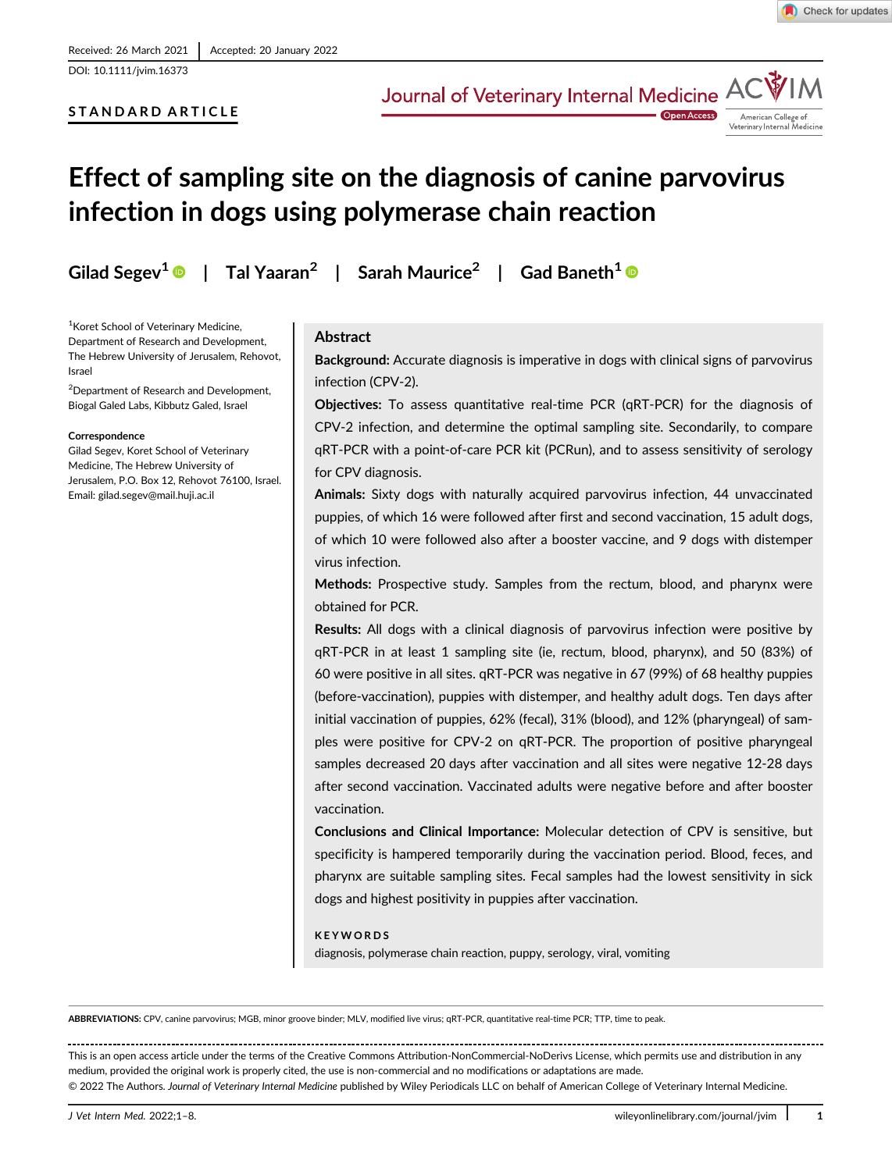## STANDARD ARTICLE

Journal of Veterinary Internal Medicine AC



**Open Access** 

# Effect of sampling site on the diagnosis of canine parvovirus infection in dogs using polymerase chain reaction

Gilad Segev<sup>1</sup>  $\bullet$  | Tal Yaaran<sup>2</sup> | Sarah Maurice<sup>2</sup> | Gad Baneth<sup>1</sup>  $\bullet$ 

<sup>1</sup> Koret School of Veterinary Medicine, Department of Research and Development, The Hebrew University of Jerusalem, Rehovot, Israel

2 Department of Research and Development, Biogal Galed Labs, Kibbutz Galed, Israel

#### Correspondence

Gilad Segev, Koret School of Veterinary Medicine, The Hebrew University of Jerusalem, P.O. Box 12, Rehovot 76100, Israel. Email: [gilad.segev@mail.huji.ac.il](mailto:gilad.segev@mail.huji.ac.il)

## Abstract

Background: Accurate diagnosis is imperative in dogs with clinical signs of parvovirus infection (CPV-2).

Objectives: To assess quantitative real-time PCR (qRT-PCR) for the diagnosis of CPV-2 infection, and determine the optimal sampling site. Secondarily, to compare qRT-PCR with a point-of-care PCR kit (PCRun), and to assess sensitivity of serology for CPV diagnosis.

Animals: Sixty dogs with naturally acquired parvovirus infection, 44 unvaccinated puppies, of which 16 were followed after first and second vaccination, 15 adult dogs, of which 10 were followed also after a booster vaccine, and 9 dogs with distemper virus infection.

Methods: Prospective study. Samples from the rectum, blood, and pharynx were obtained for PCR.

Results: All dogs with a clinical diagnosis of parvovirus infection were positive by qRT-PCR in at least 1 sampling site (ie, rectum, blood, pharynx), and 50 (83%) of 60 were positive in all sites. qRT-PCR was negative in 67 (99%) of 68 healthy puppies (before-vaccination), puppies with distemper, and healthy adult dogs. Ten days after initial vaccination of puppies, 62% (fecal), 31% (blood), and 12% (pharyngeal) of samples were positive for CPV-2 on qRT-PCR. The proportion of positive pharyngeal samples decreased 20 days after vaccination and all sites were negative 12-28 days after second vaccination. Vaccinated adults were negative before and after booster vaccination.

Conclusions and Clinical Importance: Molecular detection of CPV is sensitive, but specificity is hampered temporarily during the vaccination period. Blood, feces, and pharynx are suitable sampling sites. Fecal samples had the lowest sensitivity in sick dogs and highest positivity in puppies after vaccination.

#### KEYWORDS

diagnosis, polymerase chain reaction, puppy, serology, viral, vomiting

ABBREVIATIONS: CPV, canine parvovirus; MGB, minor groove binder; MLV, modified live virus; qRT-PCR, quantitative real-time PCR; TTP, time to peak.

This is an open access article under the terms of the [Creative Commons Attribution-NonCommercial-NoDerivs](http://creativecommons.org/licenses/by-nc-nd/4.0/) License, which permits use and distribution in any medium, provided the original work is properly cited, the use is non-commercial and no modifications or adaptations are made. © 2022 The Authors. Journal of Veterinary Internal Medicine published by Wiley Periodicals LLC on behalf of American College of Veterinary Internal Medicine.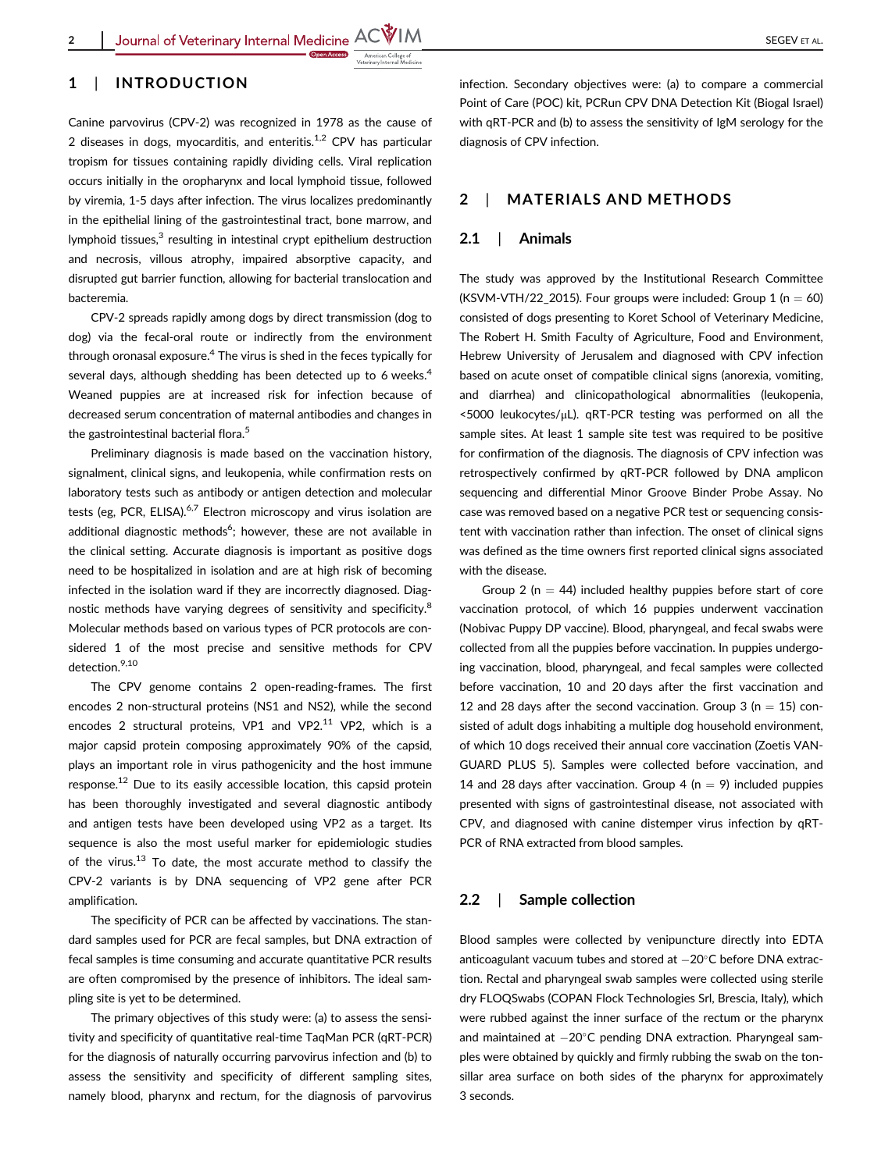

## 1 | INTRODUCTION

Canine parvovirus (CPV-2) was recognized in 1978 as the cause of 2 diseases in dogs, myocarditis, and enteritis. $1,2$  CPV has particular tropism for tissues containing rapidly dividing cells. Viral replication occurs initially in the oropharynx and local lymphoid tissue, followed by viremia, 1-5 days after infection. The virus localizes predominantly in the epithelial lining of the gastrointestinal tract, bone marrow, and lymphoid tissues,<sup>3</sup> resulting in intestinal crypt epithelium destruction and necrosis, villous atrophy, impaired absorptive capacity, and disrupted gut barrier function, allowing for bacterial translocation and bacteremia.

CPV-2 spreads rapidly among dogs by direct transmission (dog to dog) via the fecal-oral route or indirectly from the environment through oronasal exposure.<sup>4</sup> The virus is shed in the feces typically for several days, although shedding has been detected up to 6 weeks.<sup>4</sup> Weaned puppies are at increased risk for infection because of decreased serum concentration of maternal antibodies and changes in the gastrointestinal bacterial flora.<sup>5</sup>

Preliminary diagnosis is made based on the vaccination history, signalment, clinical signs, and leukopenia, while confirmation rests on laboratory tests such as antibody or antigen detection and molecular tests (eg, PCR, ELISA). $6,7$  Electron microscopy and virus isolation are additional diagnostic methods<sup>6</sup>; however, these are not available in the clinical setting. Accurate diagnosis is important as positive dogs need to be hospitalized in isolation and are at high risk of becoming infected in the isolation ward if they are incorrectly diagnosed. Diagnostic methods have varying degrees of sensitivity and specificity.<sup>8</sup> Molecular methods based on various types of PCR protocols are considered 1 of the most precise and sensitive methods for CPV detection.<sup>9,10</sup>

The CPV genome contains 2 open-reading-frames. The first encodes 2 non-structural proteins (NS1 and NS2), while the second encodes 2 structural proteins, VP1 and VP2. $11$  VP2, which is a major capsid protein composing approximately 90% of the capsid, plays an important role in virus pathogenicity and the host immune response.<sup>12</sup> Due to its easily accessible location, this capsid protein has been thoroughly investigated and several diagnostic antibody and antigen tests have been developed using VP2 as a target. Its sequence is also the most useful marker for epidemiologic studies of the virus. $^{13}$  To date, the most accurate method to classify the CPV-2 variants is by DNA sequencing of VP2 gene after PCR amplification.

The specificity of PCR can be affected by vaccinations. The standard samples used for PCR are fecal samples, but DNA extraction of fecal samples is time consuming and accurate quantitative PCR results are often compromised by the presence of inhibitors. The ideal sampling site is yet to be determined.

The primary objectives of this study were: (a) to assess the sensitivity and specificity of quantitative real-time TaqMan PCR (qRT-PCR) for the diagnosis of naturally occurring parvovirus infection and (b) to assess the sensitivity and specificity of different sampling sites, namely blood, pharynx and rectum, for the diagnosis of parvovirus infection. Secondary objectives were: (a) to compare a commercial Point of Care (POC) kit, PCRun CPV DNA Detection Kit (Biogal Israel) with  $aRT-PCR$  and (b) to assess the sensitivity of IgM serology for the diagnosis of CPV infection.

## 2 | MATERIALS AND METHODS

#### 2.1 | Animals

The study was approved by the Institutional Research Committee (KSVM-VTH/22, 2015). Four groups were included: Group 1 (n  $= 60$ ) consisted of dogs presenting to Koret School of Veterinary Medicine, The Robert H. Smith Faculty of Agriculture, Food and Environment, Hebrew University of Jerusalem and diagnosed with CPV infection based on acute onset of compatible clinical signs (anorexia, vomiting, and diarrhea) and clinicopathological abnormalities (leukopenia, <5000 leukocytes/μL). qRT-PCR testing was performed on all the sample sites. At least 1 sample site test was required to be positive for confirmation of the diagnosis. The diagnosis of CPV infection was retrospectively confirmed by qRT-PCR followed by DNA amplicon sequencing and differential Minor Groove Binder Probe Assay. No case was removed based on a negative PCR test or sequencing consistent with vaccination rather than infection. The onset of clinical signs was defined as the time owners first reported clinical signs associated with the disease.

Group 2 ( $n = 44$ ) included healthy puppies before start of core vaccination protocol, of which 16 puppies underwent vaccination (Nobivac Puppy DP vaccine). Blood, pharyngeal, and fecal swabs were collected from all the puppies before vaccination. In puppies undergoing vaccination, blood, pharyngeal, and fecal samples were collected before vaccination, 10 and 20 days after the first vaccination and 12 and 28 days after the second vaccination. Group 3 ( $n = 15$ ) consisted of adult dogs inhabiting a multiple dog household environment, of which 10 dogs received their annual core vaccination (Zoetis VAN-GUARD PLUS 5). Samples were collected before vaccination, and 14 and 28 days after vaccination. Group 4 ( $n = 9$ ) included puppies presented with signs of gastrointestinal disease, not associated with CPV, and diagnosed with canine distemper virus infection by qRT-PCR of RNA extracted from blood samples.

#### 2.2 | Sample collection

Blood samples were collected by venipuncture directly into EDTA anticoagulant vacuum tubes and stored at  $-20^{\circ}$ C before DNA extraction. Rectal and pharyngeal swab samples were collected using sterile dry FLOQSwabs (COPAN Flock Technologies Srl, Brescia, Italy), which were rubbed against the inner surface of the rectum or the pharynx and maintained at  $-20^{\circ}$ C pending DNA extraction. Pharyngeal samples were obtained by quickly and firmly rubbing the swab on the tonsillar area surface on both sides of the pharynx for approximately 3 seconds.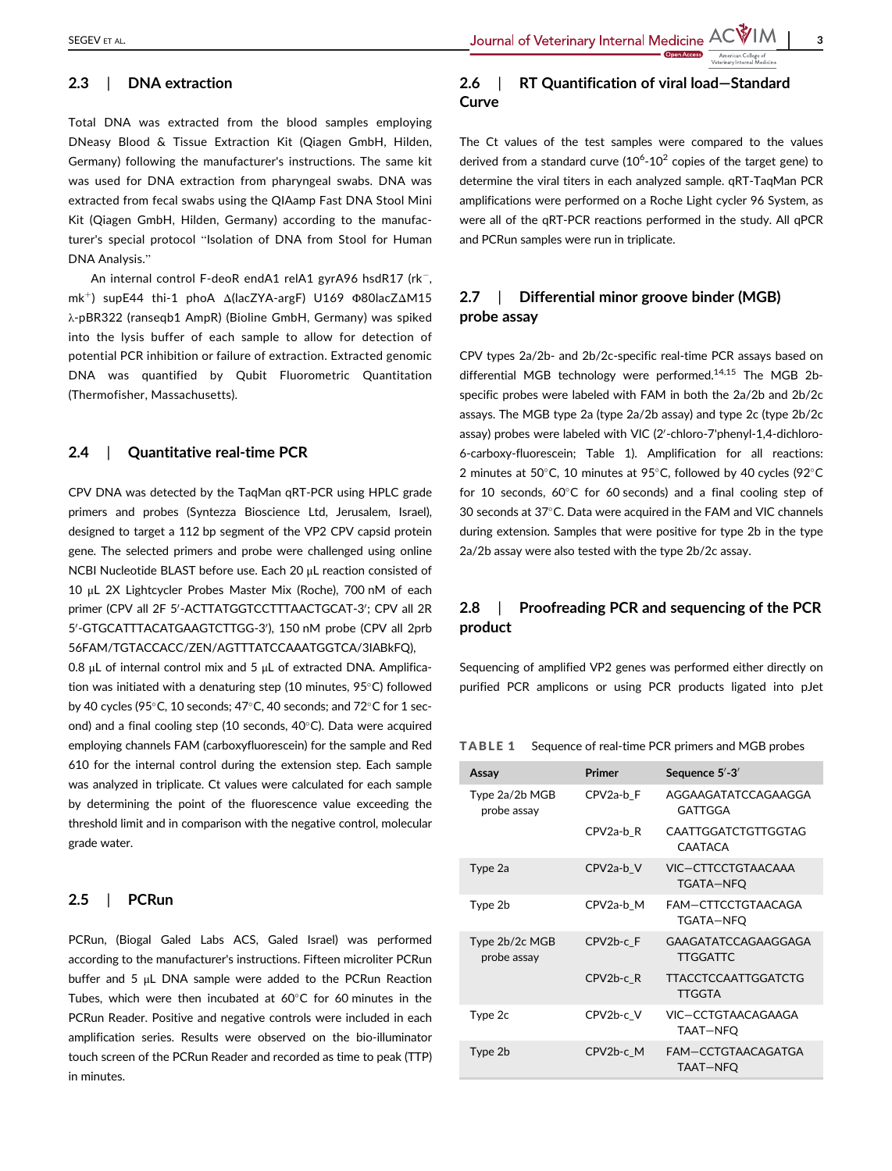SEGEV ET AL. And the second of Veterinary Internal Medicine AC VIM

## 2.3 | DNA extraction

Total DNA was extracted from the blood samples employing DNeasy Blood & Tissue Extraction Kit (Qiagen GmbH, Hilden, Germany) following the manufacturer's instructions. The same kit was used for DNA extraction from pharyngeal swabs. DNA was extracted from fecal swabs using the QIAamp Fast DNA Stool Mini Kit (Qiagen GmbH, Hilden, Germany) according to the manufacturer's special protocol "Isolation of DNA from Stool for Human DNA Analysis."

An internal control F-deoR endA1 relA1 gyrA96 hsdR17 ( $rk^-$ , mk+) supE44 thi-1 phoA Δ(lacZYA-argF) U169 Φ80lacZΔM15 λ-pBR322 (ranseqb1 AmpR) (Bioline GmbH, Germany) was spiked into the lysis buffer of each sample to allow for detection of potential PCR inhibition or failure of extraction. Extracted genomic DNA was quantified by Qubit Fluorometric Quantitation (Thermofisher, Massachusetts).

#### 2.4 | Ouantitative real-time PCR

CPV DNA was detected by the TaqMan qRT-PCR using HPLC grade primers and probes (Syntezza Bioscience Ltd, Jerusalem, Israel), designed to target a 112 bp segment of the VP2 CPV capsid protein gene. The selected primers and probe were challenged using online NCBI Nucleotide BLAST before use. Each 20 μL reaction consisted of 10 μL 2X Lightcycler Probes Master Mix (Roche), 700 nM of each primer (CPV all 2F 5'-ACTTATGGTCCTTTAACTGCAT-3'; CPV all 2R 5'-GTGCATTTACATGAAGTCTTGG-3'), 150 nM probe (CPV all 2prb 56FAM/TGTACCACC/ZEN/AGTTTATCCAAATGGTCA/3IABkFQ),

0.8 μL of internal control mix and 5 μL of extracted DNA. Amplification was initiated with a denaturing step (10 minutes,  $95^{\circ}$ C) followed by 40 cycles (95 $\degree$ C, 10 seconds; 47 $\degree$ C, 40 seconds; and 72 $\degree$ C for 1 second) and a final cooling step (10 seconds,  $40^{\circ}$ C). Data were acquired employing channels FAM (carboxyfluorescein) for the sample and Red 610 for the internal control during the extension step. Each sample was analyzed in triplicate. Ct values were calculated for each sample by determining the point of the fluorescence value exceeding the threshold limit and in comparison with the negative control, molecular grade water.

## 2.5 | PCRun

PCRun, (Biogal Galed Labs ACS, Galed Israel) was performed according to the manufacturer's instructions. Fifteen microliter PCRun buffer and 5 μL DNA sample were added to the PCRun Reaction Tubes, which were then incubated at  $60^{\circ}$ C for 60 minutes in the PCRun Reader. Positive and negative controls were included in each amplification series. Results were observed on the bio-illuminator touch screen of the PCRun Reader and recorded as time to peak (TTP) in minutes.

# 2.6 | RT Quantification of viral load-Standard Curve

The Ct values of the test samples were compared to the values derived from a standard curve  $(10^6 \text{-} 10^2 \text{ copies of the target gene})$  to determine the viral titers in each analyzed sample. qRT-TaqMan PCR amplifications were performed on a Roche Light cycler 96 System, as were all of the qRT-PCR reactions performed in the study. All qPCR and PCRun samples were run in triplicate.

# 2.7 | Differential minor groove binder (MGB) probe assay

CPV types 2a/2b- and 2b/2c-specific real-time PCR assays based on differential MGB technology were performed.14,15 The MGB 2bspecific probes were labeled with FAM in both the 2a/2b and 2b/2c assays. The MGB type 2a (type 2a/2b assay) and type 2c (type 2b/2c assay) probes were labeled with VIC (2'-chloro-7'phenyl-1,4-dichloro-6-carboxy-fluorescein; Table 1). Amplification for all reactions: 2 minutes at 50 $^{\circ}$ C, 10 minutes at 95 $^{\circ}$ C, followed by 40 cycles (92 $^{\circ}$ C for 10 seconds,  $60^{\circ}$ C for 60 seconds) and a final cooling step of 30 seconds at 37°C. Data were acquired in the FAM and VIC channels during extension. Samples that were positive for type 2b in the type 2a/2b assay were also tested with the type 2b/2c assay.

# 2.8 | Proofreading PCR and sequencing of the PCR product

Sequencing of amplified VP2 genes was performed either directly on purified PCR amplicons or using PCR products ligated into pJet

TABLE 1 Sequence of real-time PCR primers and MGB probes

| Assay                         | Primer                 | Sequence $5'$ -3'                      |  |  |
|-------------------------------|------------------------|----------------------------------------|--|--|
| Type 2a/2b MGB<br>probe assay | CPV2a-b F              | AGGAAGATATCCAGAAGGA<br>GATTGGA         |  |  |
|                               | CPV2a-b R              | CAATTGGATCTGTTGGTAG<br><b>CAATACA</b>  |  |  |
| Type 2a                       | CPV2a-b V              | VIC-CTTCCTGTAACAAA<br>TGATA-NFO        |  |  |
| Type 2b                       | CPV <sub>2a</sub> -b M | FAM-CTTCCTGTAACAGA<br>TGATA-NFO        |  |  |
| Type 2b/2c MGB<br>probe assay | CPV2b-c F              | GAAGATATCCAGAAGGAGA<br><b>TTGGATTC</b> |  |  |
|                               | CPV2b-c R              | <b>TTACCTCCAATTGGATCTG</b><br>TTGGTA   |  |  |
| Type 2c                       | CPV2b-c V              | VIC-CCTGTAACAGAAGA<br>TAAT-NFO         |  |  |
| Type 2b                       | CPV2b-c M              | FAM-CCTGTAACAGATGA<br>TAAT-NFO         |  |  |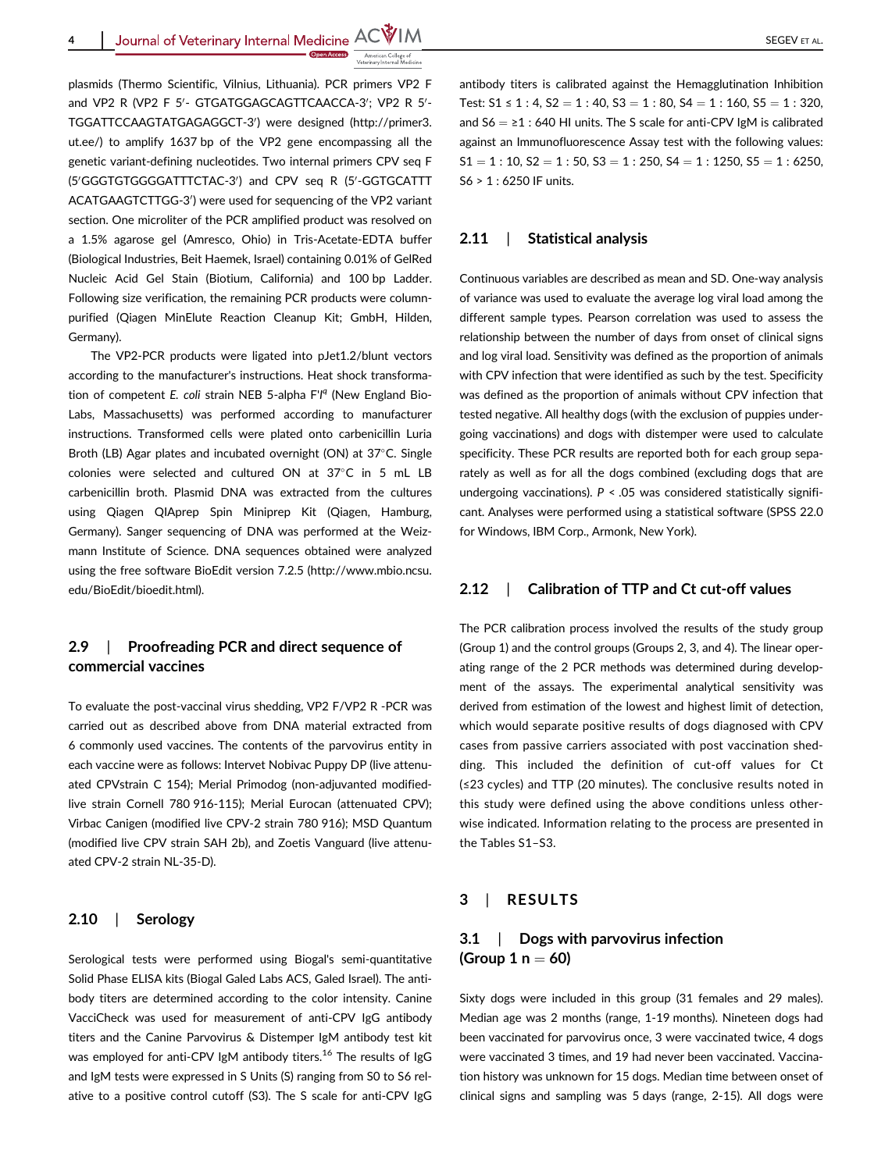Journal of Veterinary Internal Medicine  $ACW$  | M

plasmids (Thermo Scientific, Vilnius, Lithuania). PCR primers VP2 F and VP2 R (VP2 F 5'- GTGATGGAGCAGTTCAACCA-3'; VP2 R 5'TGGATTCCAAGTATGAGAGGCT-3') were designed ([http://primer3.](http://primer3.ut.ee/) [ut.ee/\)](http://primer3.ut.ee/) to amplify 1637 bp of the VP2 gene encompassing all the genetic variant-defining nucleotides. Two internal primers CPV seq F (5'GGGTGTGGGGATTTCTAC-3') and CPV seq R (5'-GGTGCATTT ACATGAAGTCTTGG-3′) were used for sequencing of the VP2 variant section. One microliter of the PCR amplified product was resolved on a 1.5% agarose gel (Amresco, Ohio) in Tris-Acetate-EDTA buffer (Biological Industries, Beit Haemek, Israel) containing 0.01% of GelRed Nucleic Acid Gel Stain (Biotium, California) and 100 bp Ladder. Following size verification, the remaining PCR products were columnpurified (Qiagen MinElute Reaction Cleanup Kit; GmbH, Hilden, Germany).

The VP2-PCR products were ligated into pJet1.2/blunt vectors according to the manufacturer's instructions. Heat shock transformation of competent E. coli strain NEB 5-alpha F'<sup>19</sup> (New England Bio-Labs, Massachusetts) was performed according to manufacturer instructions. Transformed cells were plated onto carbenicillin Luria Broth (LB) Agar plates and incubated overnight (ON) at  $37^{\circ}$ C. Single colonies were selected and cultured ON at 37°C in 5 mL LB carbenicillin broth. Plasmid DNA was extracted from the cultures using Qiagen QIAprep Spin Miniprep Kit (Qiagen, Hamburg, Germany). Sanger sequencing of DNA was performed at the Weizmann Institute of Science. DNA sequences obtained were analyzed using the free software BioEdit version 7.2.5 [\(http://www.mbio.ncsu.](http://www.mbio.ncsu.edu/BioEdit/bioedit.html) [edu/BioEdit/bioedit.html](http://www.mbio.ncsu.edu/BioEdit/bioedit.html)).

## 2.9 | Proofreading PCR and direct sequence of commercial vaccines

To evaluate the post-vaccinal virus shedding, VP2 F/VP2 R -PCR was carried out as described above from DNA material extracted from 6 commonly used vaccines. The contents of the parvovirus entity in each vaccine were as follows: Intervet Nobivac Puppy DP (live attenuated CPVstrain C 154); Merial Primodog (non-adjuvanted modifiedlive strain Cornell 780 916-115); Merial Eurocan (attenuated CPV); Virbac Canigen (modified live CPV-2 strain 780 916); MSD Quantum (modified live CPV strain SAH 2b), and Zoetis Vanguard (live attenuated CPV-2 strain NL-35-D).

#### 2.10 | Serology

Serological tests were performed using Biogal's semi-quantitative Solid Phase ELISA kits (Biogal Galed Labs ACS, Galed Israel). The antibody titers are determined according to the color intensity. Canine VacciCheck was used for measurement of anti-CPV IgG antibody titers and the Canine Parvovirus & Distemper IgM antibody test kit was employed for anti-CPV IgM antibody titers.<sup>16</sup> The results of IgG and IgM tests were expressed in S Units (S) ranging from S0 to S6 relative to a positive control cutoff (S3). The S scale for anti-CPV IgG

antibody titers is calibrated against the Hemagglutination Inhibition Test:  $51 \le 1$ :  $4$ ,  $52 = 1$ :  $40$ ,  $53 = 1$ :  $80$ ,  $54 = 1$ :  $160$ ,  $55 = 1$ :  $320$ , and  $S6 = \ge 1$ : 640 HI units. The S scale for anti-CPV IgM is calibrated against an Immunofluorescence Assay test with the following values:  $S1 = 1: 10, S2 = 1: 50, S3 = 1: 250, S4 = 1: 1250, S5 = 1: 6250,$ S6 > 1 : 6250 IF units.

#### 2.11 | Statistical analysis

Continuous variables are described as mean and SD. One-way analysis of variance was used to evaluate the average log viral load among the different sample types. Pearson correlation was used to assess the relationship between the number of days from onset of clinical signs and log viral load. Sensitivity was defined as the proportion of animals with CPV infection that were identified as such by the test. Specificity was defined as the proportion of animals without CPV infection that tested negative. All healthy dogs (with the exclusion of puppies undergoing vaccinations) and dogs with distemper were used to calculate specificity. These PCR results are reported both for each group separately as well as for all the dogs combined (excluding dogs that are undergoing vaccinations).  $P < .05$  was considered statistically significant. Analyses were performed using a statistical software (SPSS 22.0 for Windows, IBM Corp., Armonk, New York).

#### 2.12 | Calibration of TTP and Ct cut-off values

The PCR calibration process involved the results of the study group (Group 1) and the control groups (Groups 2, 3, and 4). The linear operating range of the 2 PCR methods was determined during development of the assays. The experimental analytical sensitivity was derived from estimation of the lowest and highest limit of detection, which would separate positive results of dogs diagnosed with CPV cases from passive carriers associated with post vaccination shedding. This included the definition of cut-off values for Ct (≤23 cycles) and TTP (20 minutes). The conclusive results noted in this study were defined using the above conditions unless otherwise indicated. Information relating to the process are presented in the Tables S1–S3.

### 3 | RESULTS

## 3.1 | Dogs with parvovirus infection (Group  $1 n = 60$ )

Sixty dogs were included in this group (31 females and 29 males). Median age was 2 months (range, 1-19 months). Nineteen dogs had been vaccinated for parvovirus once, 3 were vaccinated twice, 4 dogs were vaccinated 3 times, and 19 had never been vaccinated. Vaccination history was unknown for 15 dogs. Median time between onset of clinical signs and sampling was 5 days (range, 2-15). All dogs were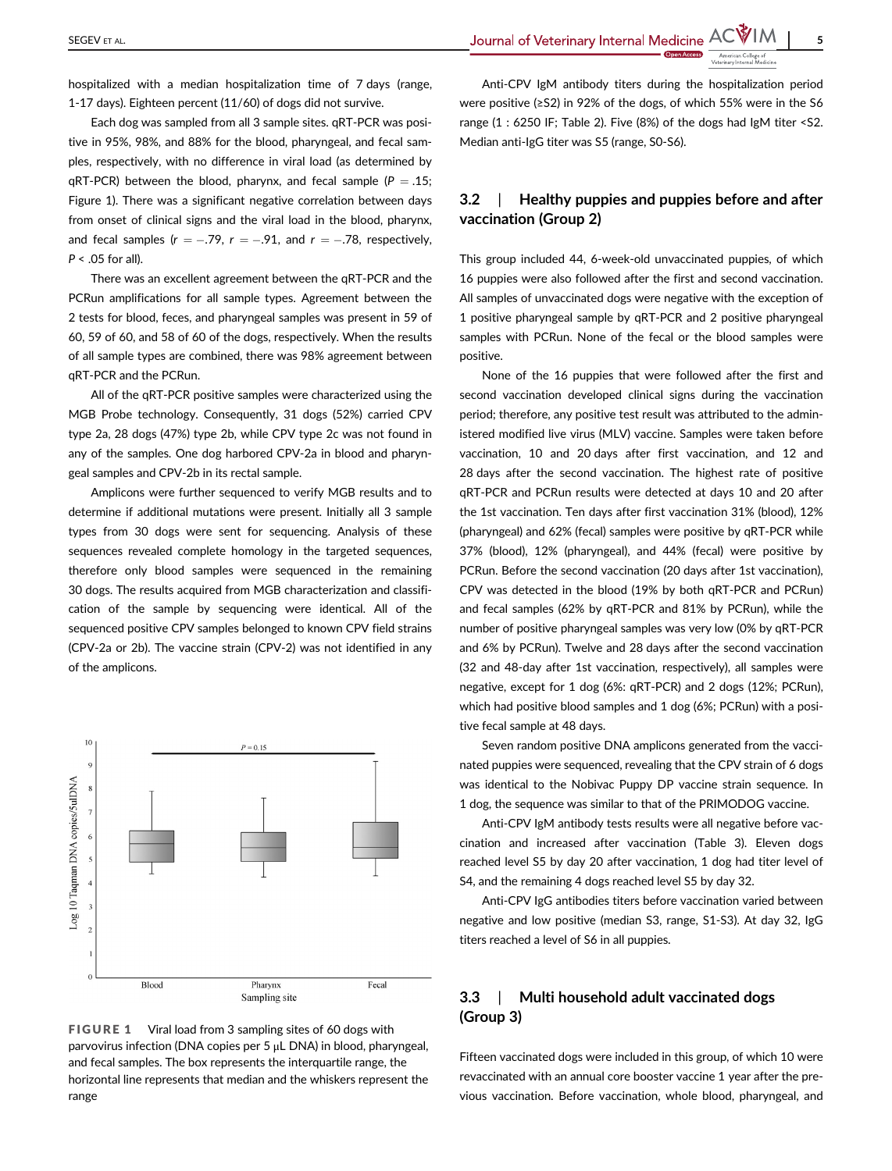hospitalized with a median hospitalization time of 7 days (range, 1-17 days). Eighteen percent (11/60) of dogs did not survive.

Each dog was sampled from all 3 sample sites. qRT-PCR was positive in 95%, 98%, and 88% for the blood, pharyngeal, and fecal samples, respectively, with no difference in viral load (as determined by  $qRT-PCR$ ) between the blood, pharynx, and fecal sample ( $P = .15$ ; Figure 1). There was a significant negative correlation between days from onset of clinical signs and the viral load in the blood, pharynx, and fecal samples ( $r = -.79$ ,  $r = -.91$ , and  $r = -.78$ , respectively,  $P < .05$  for all).

There was an excellent agreement between the qRT-PCR and the PCRun amplifications for all sample types. Agreement between the 2 tests for blood, feces, and pharyngeal samples was present in 59 of 60, 59 of 60, and 58 of 60 of the dogs, respectively. When the results of all sample types are combined, there was 98% agreement between qRT-PCR and the PCRun.

All of the qRT-PCR positive samples were characterized using the MGB Probe technology. Consequently, 31 dogs (52%) carried CPV type 2a, 28 dogs (47%) type 2b, while CPV type 2c was not found in any of the samples. One dog harbored CPV-2a in blood and pharyngeal samples and CPV-2b in its rectal sample.

Amplicons were further sequenced to verify MGB results and to determine if additional mutations were present. Initially all 3 sample types from 30 dogs were sent for sequencing. Analysis of these sequences revealed complete homology in the targeted sequences, therefore only blood samples were sequenced in the remaining 30 dogs. The results acquired from MGB characterization and classification of the sample by sequencing were identical. All of the sequenced positive CPV samples belonged to known CPV field strains (CPV-2a or 2b). The vaccine strain (CPV-2) was not identified in any of the amplicons.





Anti-CPV IgM antibody titers during the hospitalization period were positive (≥S2) in 92% of the dogs, of which 55% were in the S6 range (1 : 6250 IF; Table 2). Five (8%) of the dogs had IgM titer <S2. Median anti-IgG titer was S5 (range, S0-S6).

## 3.2 | Healthy puppies and puppies before and after vaccination (Group 2)

This group included 44, 6-week-old unvaccinated puppies, of which 16 puppies were also followed after the first and second vaccination. All samples of unvaccinated dogs were negative with the exception of 1 positive pharyngeal sample by qRT-PCR and 2 positive pharyngeal samples with PCRun. None of the fecal or the blood samples were positive.

None of the 16 puppies that were followed after the first and second vaccination developed clinical signs during the vaccination period; therefore, any positive test result was attributed to the administered modified live virus (MLV) vaccine. Samples were taken before vaccination, 10 and 20 days after first vaccination, and 12 and 28 days after the second vaccination. The highest rate of positive qRT-PCR and PCRun results were detected at days 10 and 20 after the 1st vaccination. Ten days after first vaccination 31% (blood), 12% (pharyngeal) and 62% (fecal) samples were positive by qRT-PCR while 37% (blood), 12% (pharyngeal), and 44% (fecal) were positive by PCRun. Before the second vaccination (20 days after 1st vaccination), CPV was detected in the blood (19% by both qRT-PCR and PCRun) and fecal samples (62% by qRT-PCR and 81% by PCRun), while the number of positive pharyngeal samples was very low (0% by qRT-PCR and 6% by PCRun). Twelve and 28 days after the second vaccination (32 and 48-day after 1st vaccination, respectively), all samples were negative, except for 1 dog (6%: qRT-PCR) and 2 dogs (12%; PCRun), which had positive blood samples and 1 dog (6%; PCRun) with a positive fecal sample at 48 days.

Seven random positive DNA amplicons generated from the vaccinated puppies were sequenced, revealing that the CPV strain of 6 dogs was identical to the Nobivac Puppy DP vaccine strain sequence. In 1 dog, the sequence was similar to that of the PRIMODOG vaccine.

Anti-CPV IgM antibody tests results were all negative before vaccination and increased after vaccination (Table 3). Eleven dogs reached level S5 by day 20 after vaccination, 1 dog had titer level of S4, and the remaining 4 dogs reached level S5 by day 32.

Anti-CPV IgG antibodies titers before vaccination varied between negative and low positive (median S3, range, S1-S3). At day 32, IgG titers reached a level of S6 in all puppies.

# 3.3 | Multi household adult vaccinated dogs (Group 3)

Fifteen vaccinated dogs were included in this group, of which 10 were revaccinated with an annual core booster vaccine 1 year after the previous vaccination. Before vaccination, whole blood, pharyngeal, and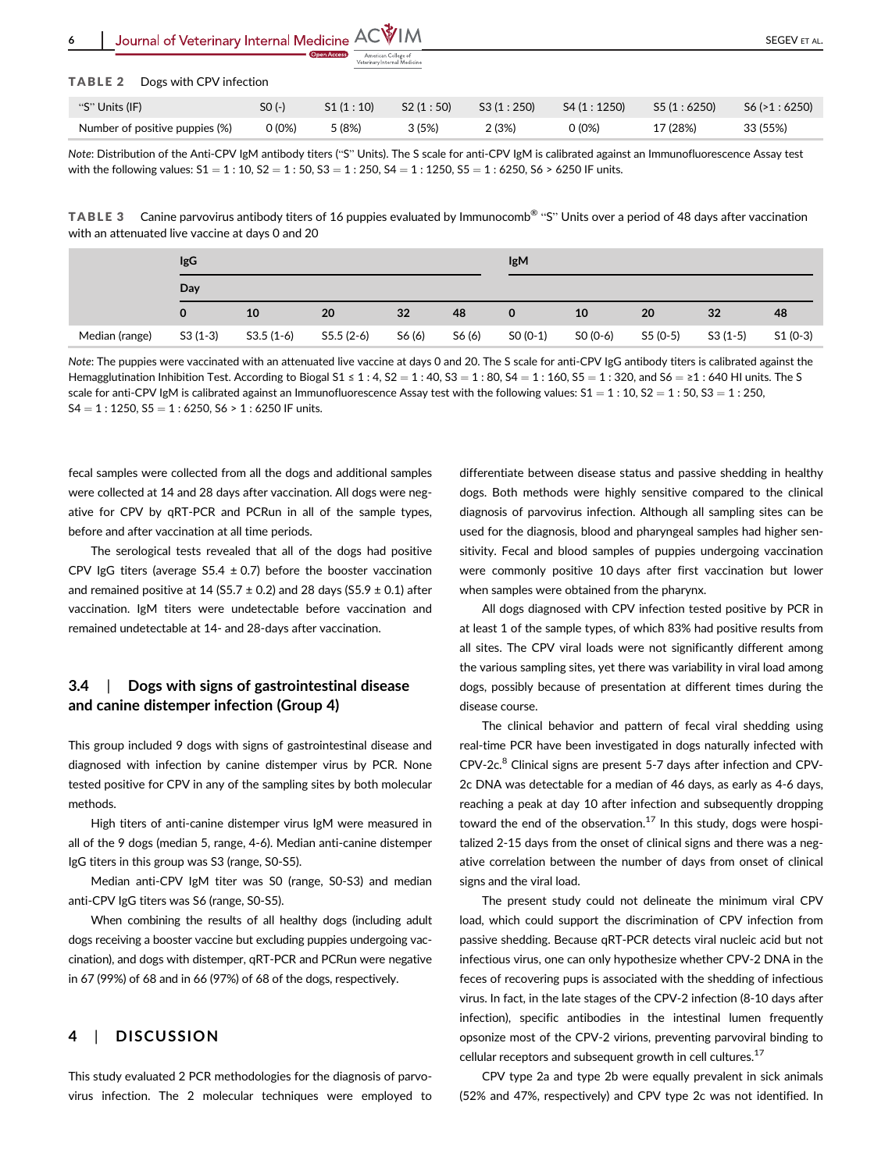| ' Journal of Veterinary Internal Medicine $ACVIM$<br>6 |          |             |                                                     |           |            | SEGEV ET AL. |              |  |
|--------------------------------------------------------|----------|-------------|-----------------------------------------------------|-----------|------------|--------------|--------------|--|
|                                                        |          | Open Access | American College of<br>Veterinary Internal Medicine |           |            |              |              |  |
| TABLE <sub>2</sub><br>Dogs with CPV infection          |          |             |                                                     |           |            |              |              |  |
| "S" Units (IF)                                         | $SO(-)$  | S1(1:10)    | S2(1:50)                                            | S3(1:250) | S4(1:1250) | S5(1:6250)   | S6 (>1:6250) |  |
| Number of positive puppies (%)                         | $0(0\%)$ | 5 (8%)      | 3(5%)                                               | 2(3%)     | 0 (0%)     | 17 (28%)     | 33 (55%)     |  |

Note: Distribution of the Anti-CPV IgM antibody titers ("S" Units). The S scale for anti-CPV IgM is calibrated against an Immunofluorescence Assay test with the following values:  $51 = 1$ :  $10$ ,  $52 = 1$ :  $50$ ,  $53 = 1$ :  $250$ ,  $54 = 1$ :  $1250$ ,  $55 = 1$ :  $6250$ ,  $56 > 6250$  IF units.

TABLE 3 Canine parvovirus antibody titers of 16 puppies evaluated by Immunocomb® "S" Units over a period of 48 days after vaccination with an attenuated live vaccine at days 0 and 20

|                | IgG<br>Day |             |             |        |        | <b>IgM</b> |          |          |           |           |
|----------------|------------|-------------|-------------|--------|--------|------------|----------|----------|-----------|-----------|
|                |            |             |             |        |        |            |          |          |           |           |
|                | 0          | 10          | 20          | 32     | 48     | 0          | 10       | 20       | 32        | 48        |
| Median (range) | $S3(1-3)$  | $S3.5(1-6)$ | $S5.5(2-6)$ | S6 (6) | S6 (6) | $SO(0-1)$  | SO (0-6) | S5 (0-5) | $S3(1-5)$ | $S1(0-3)$ |

Note: The puppies were vaccinated with an attenuated live vaccine at days 0 and 20. The S scale for anti-CPV IgG antibody titers is calibrated against the Hemagglutination Inhibition Test. According to Biogal S1 ≤ 1 : 4, S2 = 1 : 40, S3 = 1 : 80, S4 = 1 : 160, S5 = 1 : 320, and S6 = ≥1 : 640 HI units. The S scale for anti-CPV IgM is calibrated against an Immunofluorescence Assay test with the following values:  $51 = 1$ :  $10$ ,  $52 = 1$ :  $50$ ,  $53 = 1$ :  $250$ ,  $S4 = 1$ : 1250,  $S5 = 1$ : 6250,  $S6 > 1$ : 6250 IF units.

fecal samples were collected from all the dogs and additional samples were collected at 14 and 28 days after vaccination. All dogs were negative for CPV by qRT-PCR and PCRun in all of the sample types, before and after vaccination at all time periods.

The serological tests revealed that all of the dogs had positive CPV IgG titers (average S5.4  $\pm$  0.7) before the booster vaccination and remained positive at 14 (S5.7  $\pm$  0.2) and 28 days (S5.9  $\pm$  0.1) after vaccination. IgM titers were undetectable before vaccination and remained undetectable at 14- and 28-days after vaccination.

# 3.4 | Dogs with signs of gastrointestinal disease and canine distemper infection (Group 4)

This group included 9 dogs with signs of gastrointestinal disease and diagnosed with infection by canine distemper virus by PCR. None tested positive for CPV in any of the sampling sites by both molecular methods.

High titers of anti-canine distemper virus IgM were measured in all of the 9 dogs (median 5, range, 4-6). Median anti-canine distemper IgG titers in this group was S3 (range, S0-S5).

Median anti-CPV IgM titer was S0 (range, S0-S3) and median anti-CPV IgG titers was S6 (range, S0-S5).

When combining the results of all healthy dogs (including adult dogs receiving a booster vaccine but excluding puppies undergoing vaccination), and dogs with distemper, qRT-PCR and PCRun were negative in 67 (99%) of 68 and in 66 (97%) of 68 of the dogs, respectively.

# 4 | DISCUSSION

This study evaluated 2 PCR methodologies for the diagnosis of parvovirus infection. The 2 molecular techniques were employed to

differentiate between disease status and passive shedding in healthy dogs. Both methods were highly sensitive compared to the clinical diagnosis of parvovirus infection. Although all sampling sites can be used for the diagnosis, blood and pharyngeal samples had higher sensitivity. Fecal and blood samples of puppies undergoing vaccination were commonly positive 10 days after first vaccination but lower when samples were obtained from the pharynx.

All dogs diagnosed with CPV infection tested positive by PCR in at least 1 of the sample types, of which 83% had positive results from all sites. The CPV viral loads were not significantly different among the various sampling sites, yet there was variability in viral load among dogs, possibly because of presentation at different times during the disease course.

The clinical behavior and pattern of fecal viral shedding using real-time PCR have been investigated in dogs naturally infected with CPV-2c.<sup>8</sup> Clinical signs are present 5-7 days after infection and CPV-2c DNA was detectable for a median of 46 days, as early as 4-6 days, reaching a peak at day 10 after infection and subsequently dropping toward the end of the observation.<sup>17</sup> In this study, dogs were hospitalized 2-15 days from the onset of clinical signs and there was a negative correlation between the number of days from onset of clinical signs and the viral load.

The present study could not delineate the minimum viral CPV load, which could support the discrimination of CPV infection from passive shedding. Because qRT-PCR detects viral nucleic acid but not infectious virus, one can only hypothesize whether CPV-2 DNA in the feces of recovering pups is associated with the shedding of infectious virus. In fact, in the late stages of the CPV-2 infection (8-10 days after infection), specific antibodies in the intestinal lumen frequently opsonize most of the CPV-2 virions, preventing parvoviral binding to cellular receptors and subsequent growth in cell cultures.<sup>17</sup>

CPV type 2a and type 2b were equally prevalent in sick animals (52% and 47%, respectively) and CPV type 2c was not identified. In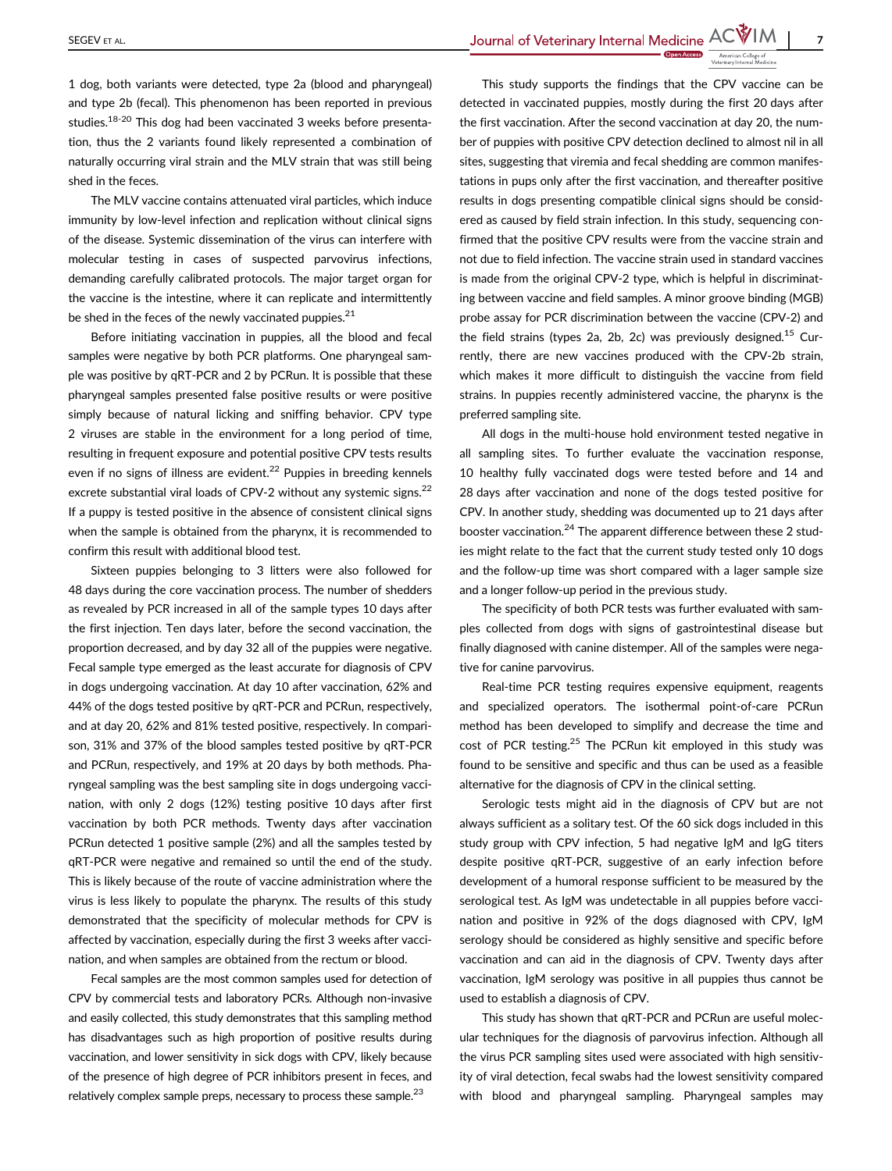SEGEV ET AL. SEGEV ET AL.

1 dog, both variants were detected, type 2a (blood and pharyngeal) and type 2b (fecal). This phenomenon has been reported in previous studies.<sup>18-20</sup> This dog had been vaccinated 3 weeks before presentation, thus the 2 variants found likely represented a combination of naturally occurring viral strain and the MLV strain that was still being shed in the feces.

The MLV vaccine contains attenuated viral particles, which induce immunity by low-level infection and replication without clinical signs of the disease. Systemic dissemination of the virus can interfere with molecular testing in cases of suspected parvovirus infections, demanding carefully calibrated protocols. The major target organ for the vaccine is the intestine, where it can replicate and intermittently be shed in the feces of the newly vaccinated puppies. $21$ 

Before initiating vaccination in puppies, all the blood and fecal samples were negative by both PCR platforms. One pharyngeal sample was positive by qRT-PCR and 2 by PCRun. It is possible that these pharyngeal samples presented false positive results or were positive simply because of natural licking and sniffing behavior. CPV type 2 viruses are stable in the environment for a long period of time, resulting in frequent exposure and potential positive CPV tests results even if no signs of illness are evident.<sup>22</sup> Puppies in breeding kennels excrete substantial viral loads of CPV-2 without any systemic signs.<sup>22</sup> If a puppy is tested positive in the absence of consistent clinical signs when the sample is obtained from the pharynx, it is recommended to confirm this result with additional blood test.

Sixteen puppies belonging to 3 litters were also followed for 48 days during the core vaccination process. The number of shedders as revealed by PCR increased in all of the sample types 10 days after the first injection. Ten days later, before the second vaccination, the proportion decreased, and by day 32 all of the puppies were negative. Fecal sample type emerged as the least accurate for diagnosis of CPV in dogs undergoing vaccination. At day 10 after vaccination, 62% and 44% of the dogs tested positive by qRT-PCR and PCRun, respectively, and at day 20, 62% and 81% tested positive, respectively. In comparison, 31% and 37% of the blood samples tested positive by qRT-PCR and PCRun, respectively, and 19% at 20 days by both methods. Pharyngeal sampling was the best sampling site in dogs undergoing vaccination, with only 2 dogs (12%) testing positive 10 days after first vaccination by both PCR methods. Twenty days after vaccination PCRun detected 1 positive sample (2%) and all the samples tested by qRT-PCR were negative and remained so until the end of the study. This is likely because of the route of vaccine administration where the virus is less likely to populate the pharynx. The results of this study demonstrated that the specificity of molecular methods for CPV is affected by vaccination, especially during the first 3 weeks after vaccination, and when samples are obtained from the rectum or blood.

Fecal samples are the most common samples used for detection of CPV by commercial tests and laboratory PCRs. Although non-invasive and easily collected, this study demonstrates that this sampling method has disadvantages such as high proportion of positive results during vaccination, and lower sensitivity in sick dogs with CPV, likely because of the presence of high degree of PCR inhibitors present in feces, and relatively complex sample preps, necessary to process these sample. $^{23}$ 

This study supports the findings that the CPV vaccine can be detected in vaccinated puppies, mostly during the first 20 days after the first vaccination. After the second vaccination at day 20, the number of puppies with positive CPV detection declined to almost nil in all sites, suggesting that viremia and fecal shedding are common manifestations in pups only after the first vaccination, and thereafter positive results in dogs presenting compatible clinical signs should be considered as caused by field strain infection. In this study, sequencing confirmed that the positive CPV results were from the vaccine strain and not due to field infection. The vaccine strain used in standard vaccines is made from the original CPV-2 type, which is helpful in discriminating between vaccine and field samples. A minor groove binding (MGB) probe assay for PCR discrimination between the vaccine (CPV-2) and the field strains (types 2a, 2b, 2c) was previously designed.<sup>15</sup> Currently, there are new vaccines produced with the CPV-2b strain, which makes it more difficult to distinguish the vaccine from field strains. In puppies recently administered vaccine, the pharynx is the preferred sampling site.

All dogs in the multi-house hold environment tested negative in all sampling sites. To further evaluate the vaccination response, 10 healthy fully vaccinated dogs were tested before and 14 and 28 days after vaccination and none of the dogs tested positive for CPV. In another study, shedding was documented up to 21 days after booster vaccination.<sup>24</sup> The apparent difference between these 2 studies might relate to the fact that the current study tested only 10 dogs and the follow-up time was short compared with a lager sample size and a longer follow-up period in the previous study.

The specificity of both PCR tests was further evaluated with samples collected from dogs with signs of gastrointestinal disease but finally diagnosed with canine distemper. All of the samples were negative for canine parvovirus.

Real-time PCR testing requires expensive equipment, reagents and specialized operators. The isothermal point-of-care PCRun method has been developed to simplify and decrease the time and cost of PCR testing.<sup>25</sup> The PCRun kit employed in this study was found to be sensitive and specific and thus can be used as a feasible alternative for the diagnosis of CPV in the clinical setting.

Serologic tests might aid in the diagnosis of CPV but are not always sufficient as a solitary test. Of the 60 sick dogs included in this study group with CPV infection, 5 had negative IgM and IgG titers despite positive qRT-PCR, suggestive of an early infection before development of a humoral response sufficient to be measured by the serological test. As IgM was undetectable in all puppies before vaccination and positive in 92% of the dogs diagnosed with CPV, IgM serology should be considered as highly sensitive and specific before vaccination and can aid in the diagnosis of CPV. Twenty days after vaccination, IgM serology was positive in all puppies thus cannot be used to establish a diagnosis of CPV.

This study has shown that qRT-PCR and PCRun are useful molecular techniques for the diagnosis of parvovirus infection. Although all the virus PCR sampling sites used were associated with high sensitivity of viral detection, fecal swabs had the lowest sensitivity compared with blood and pharyngeal sampling. Pharyngeal samples may